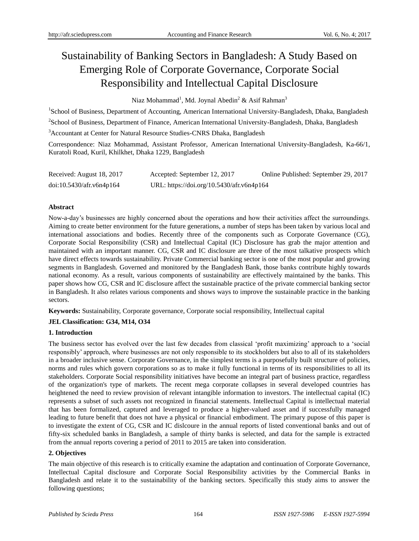# Sustainability of Banking Sectors in Bangladesh: A Study Based on Emerging Role of Corporate Governance, Corporate Social Responsibility and Intellectual Capital Disclosure

Niaz Mohammad<sup>1</sup>, Md. Joynal Abedin<sup>2</sup> & Asif Rahman<sup>3</sup>

<sup>1</sup>School of Business, Department of Accounting, American International University-Bangladesh, Dhaka, Bangladesh

<sup>2</sup>School of Business, Department of Finance, American International University-Bangladesh, Dhaka, Bangladesh

<sup>3</sup> Accountant at Center for Natural Resource Studies-CNRS Dhaka, Bangladesh

Correspondence: Niaz Mohammad, Assistant Professor, American International University-Bangladesh, Ka-66/1, Kuratoli Road, Kuril, Khilkhet, Dhaka 1229, Bangladesh

| Received: August 18, 2017 | Accepted: September 12, 2017              | Online Published: September 29, 2017 |
|---------------------------|-------------------------------------------|--------------------------------------|
| doi:10.5430/afr.v6n4p164  | URL: https://doi.org/10.5430/afr.v6n4p164 |                                      |

# **Abstract**

Now-a-day's businesses are highly concerned about the operations and how their activities affect the surroundings. Aiming to create better environment for the future generations, a number of steps has been taken by various local and international associations and bodies. Recently three of the components such as Corporate Governance (CG), Corporate Social Responsibility (CSR) and Intellectual Capital (IC) Disclosure has grab the major attention and maintained with an important manner. CG, CSR and IC disclosure are three of the most talkative prospects which have direct effects towards sustainability. Private Commercial banking sector is one of the most popular and growing segments in Bangladesh. Governed and monitored by the Bangladesh Bank, those banks contribute highly towards national economy. As a result, various components of sustainability are effectively maintained by the banks. This paper shows how CG, CSR and IC disclosure affect the sustainable practice of the private commercial banking sector in Bangladesh. It also relates various components and shows ways to improve the sustainable practice in the banking sectors.

**Keywords:** Sustainability, Corporate governance, Corporate social responsibility, Intellectual capital

# **JEL Classification: G34, M14, O34**

# **1. Introduction**

The business sector has evolved over the last few decades from classical 'profit maximizing' approach to a 'social responsibly' approach, where businesses are not only responsible to its stockholders but also to all of its stakeholders in a broader inclusive sense. Corporate Governance, in the simplest terms is a purposefully built structure of policies, norms and rules which govern corporations so as to make it fully functional in terms of its responsibilities to all its stakeholders. Corporate Social responsibility initiatives have become an integral part of business practice, regardless of the organization's type of markets. The recent mega corporate collapses in several developed countries has heightened the need to review provision of relevant intangible information to investors. The intellectual capital (IC) represents a subset of such assets not recognized in financial statements. Intellectual Capital is intellectual material that has been formalized, captured and leveraged to produce a higher-valued asset and if successfully managed leading to future benefit that does not have a physical or financial embodiment. The primary pupose of this paper is to investigate the extent of CG, CSR and IC dislcoure in the annual reports of listed conventional banks and out of fifty-six scheduled banks in Bangladesh, a sample of thirty banks is selected, and data for the sample is extracted from the annual reports covering a period of 2011 to 2015 are taken into consideration.

# **2. Objectives**

The main objective of this research is to critically examine the adaptation and continuation of Corporate Governance, Intellectual Capital disclosure and Corporate Social Responsibility activities by the Commercial Banks in Bangladesh and relate it to the sustainability of the banking sectors. Specifically this study aims to answer the following questions;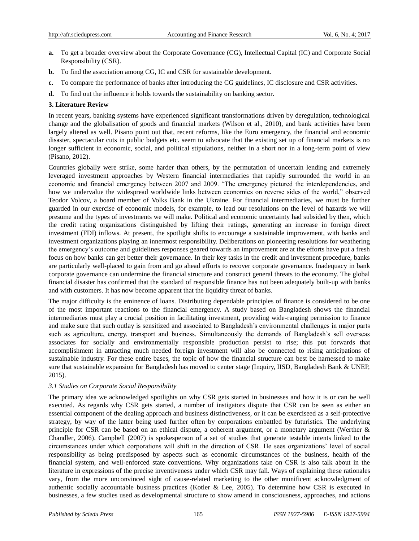- **a.** To get a broader overview about the Corporate Governance (CG), Intellectual Capital (IC) and Corporate Social Responsibility (CSR).
- **b.** To find the association among CG, IC and CSR for sustainable development.
- **c.** To compare the performance of banks after introducing the CG guidelines, IC disclosure and CSR activities.
- **d.** To find out the influence it holds towards the sustainability on banking sector.

### **3. Literature Review**

In recent years, banking systems have experienced significant transformations driven by deregulation, technological change and the globalisation of goods and financial markets (Wilson et al., 2010), and bank activities have been largely altered as well. Pisano point out that, recent reforms, like the Euro emergency, the financial and economic disaster, spectacular cuts in public budgets etc. seem to advocate that the existing set up of financial markets is no longer sufficient in economic, social, and political stipulations, neither in a short nor in a long-term point of view (Pisano, 2012).

Countries globally were strike, some harder than others, by the permutation of uncertain lending and extremely leveraged investment approaches by Western financial intermediaries that rapidly surrounded the world in an economic and financial emergency between 2007 and 2009. "The emergency pictured the interdependencies, and how we undervalue the widespread worldwide links between economies on reverse sides of the world," observed Teodor Volcov, a board member of Volks Bank in the Ukraine. For financial intermediaries, we must be further guarded in our exercise of economic models, for example, to lead our resolutions on the level of hazards we will presume and the types of investments we will make. Political and economic uncertainty had subsided by then, which the credit rating organizations distinguished by lifting their ratings, generating an increase in foreign direct investment (FDI) inflows. At present, the spotlight shifts to encourage a sustainable improvement, with banks and investment organizations playing an innermost responsibility. Deliberations on pioneering resolutions for weathering the emergency's outcome and guidelines responses geared towards an improvement are at the efforts have put a fresh focus on how banks can get better their governance. In their key tasks in the credit and investment procedure, banks are particularly well-placed to gain from and go ahead efforts to recover corporate governance. Inadequacy in bank corporate governance can undermine the financial structure and construct general threats to the economy. The global financial disaster has confirmed that the standard of responsible finance has not been adequately built-up with banks and with customers. It has now become apparent that the liquidity threat of banks.

The major difficulty is the eminence of loans. Distributing dependable principles of finance is considered to be one of the most important reactions to the financial emergency. A study based on Bangladesh shows the financial intermediaries must play a crucial position in facilitating investment, providing wide-ranging permission to finance and make sure that such outlay is sensitized and associated to Bangladesh's environmental challenges in major parts such as agriculture, energy, transport and business. Simultaneously the demands of Bangladesh's sell overseas associates for socially and environmentally responsible production persist to rise; this put forwards that accomplishment in attracting much needed foreign investment will also be connected to rising anticipations of sustainable industry. For these entire bases, the topic of how the financial structure can best be harnessed to make sure that sustainable expansion for Bangladesh has moved to center stage (Inquiry, IISD, Bangladesh Bank & UNEP, 2015).

# *3.1 Studies on Corporate Social Responsibility*

The primary idea we acknowledged spotlights on why CSR gets started in businesses and how it is or can be well executed. As regards why CSR gets started, a number of instigators dispute that CSR can be seen as either an essential component of the dealing approach and business distinctiveness, or it can be exerciseed as a self-protective strategy, by way of the latter being used further often by corporations embattled by futuristics. The underlying principle for CSR can be based on an ethical dispute, a coherent argument, or a monetary argument (Werther & Chandler, 2006). Campbell (2007) is spokesperson of a set of studies that generate testable intents linked to the circumstances under which corporations will shift in the direction of CSR. He sees organizations' level of social responsibility as being predisposed by aspects such as economic circumstances of the business, health of the financial system, and well-enforced state conventions. Why organizations take on CSR is also talk about in the literature in expressions of the precise inventiveness under which CSR may fall. Ways of explaining these rationales vary, from the more unconvinced sight of cause-related marketing to the other munificent acknowledgment of authentic socially accountable business practices (Kotler & Lee, 2005). To determine how CSR is executed in businesses, a few studies used as developmental structure to show amend in consciousness, approaches, and actions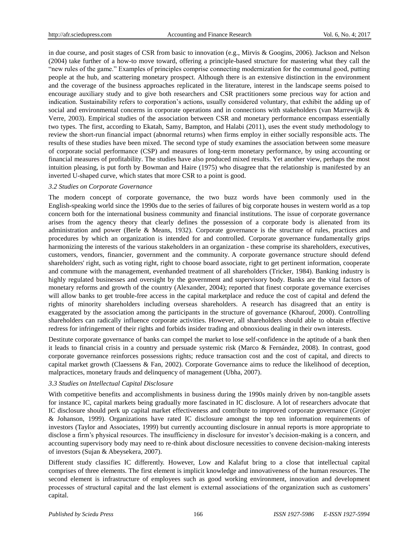in due course, and posit stages of CSR from basic to innovation (e.g., Mirvis & Googins, 2006). Jackson and Nelson (2004) take further of a how-to move toward, offering a principle-based structure for mastering what they call the "new rules of the game." Examples of principles comprise connecting modernization for the communal good, putting people at the hub, and scattering monetary prospect. Although there is an extensive distinction in the environment and the coverage of the business approaches replicated in the literature, interest in the landscape seems poised to encourage auxiliary study and to give both researchers and CSR practitioners some precious way for action and indication. Sustainability refers to corporation's actions, usually considered voluntary, that exhibit the adding up of social and environmental concerns in corporate operations and in connections with stakeholders (van Marrewijk & Verre, 2003). Empirical studies of the association between CSR and monetary performance encompass essentially two types. The first, according to Ekatah, Samy, Bampton, and Halabi (2011), uses the event study methodology to review the short-run financial impact (abnormal returns) when firms employ in either socially responsible acts. The results of these studies have been mixed. The second type of study examines the association between some measure of corporate social performance (CSP) and measures of long-term monetary performance, by using accounting or financial measures of profitability. The studies have also produced mixed results. Yet another view, perhaps the most intuition pleasing, is put forth by Bowman and Haire (1975) who disagree that the relationship is manifested by an inverted U-shaped curve, which states that more CSR to a point is good.

#### *3.2 Studies on Corporate Governance*

The modern concept of corporate governance, the two buzz words have been commonly used in the English-speaking world since the 1990s due to the series of failures of big corporate houses in western world as a top concern both for the international business community and financial institutions. The issue of corporate governance arises from the agency theory that clearly defines the possession of a corporate body is alienated from its administration and power (Berle & Means, 1932). Corporate governance is the structure of rules, practices and procedures by which an organization is intended for and controlled. Corporate governance fundamentally grips harmonizing the interests of the various stakeholders in an organization - these comprise its shareholders, executives, customers, vendors, financier, government and the community. A corporate governance structure should defend shareholders' right, such as voting right, right to choose board associate, right to get pertinent information, cooperate and commune with the management, evenhanded treatment of all shareholders (Tricker, 1984). Banking industry is highly regulated businesses and oversight by the government and supervisory body. Banks are the vital factors of monetary reforms and growth of the country (Alexander, 2004); reported that finest corporate governance exercises will allow banks to get trouble-free access in the capital marketplace and reduce the cost of capital and defend the rights of minority shareholders including overseas shareholders. A research has disagreed that an entity is exaggerated by the association among the participants in the structure of governance (Kharouf, 2000). Controlling shareholders can radically influence corporate activities. However, all shareholders should able to obtain effective redress for infringement of their rights and forbids insider trading and obnoxious dealing in their own interests.

Destitute corporate governance of banks can compel the market to lose self-confidence in the aptitude of a bank then it leads to financial crisis in a country and persuade systemic risk (Marco & Fernández, 2008). In contrast, good corporate governance reinforces possessions rights; reduce transaction cost and the cost of capital, and directs to capital market growth (Claessens & Fan, 2002). Corporate Governance aims to reduce the likelihood of deception, malpractices, monetary frauds and delinquency of management (Ubha, 2007).

### *3.3 Studies on Intellectual Capital Disclosure*

With competitive benefits and accomplishments in business during the 1990s mainly driven by non-tangible assets for instance IC, capital markets being gradually more fascinated in IC disclosure. A lot of researchers advocate that IC disclosure should perk up capital market effectiveness and contribute to improved corporate governance (Grojer & Johanson, 1999). Organizations have rated IC disclosure amongst the top ten information requirements of investors (Taylor and Associates, 1999) but currently accounting disclosure in annual reports is more appropriate to disclose a firm's physical resources. The insufficiency in disclosure for investor's decision-making is a concern, and accounting supervisory body may need to re-think about disclosure necessities to convene decision-making interests of investors (Sujan & Abeysekera, 2007).

Different study classifies IC differently. However, Low and Kalafut bring to a close that intellectual capital comprises of three elements. The first element is implicit knowledge and innovativeness of the human resources. The second element is infrastructure of employees such as good working environment, innovation and development processes of structural capital and the last element is external associations of the organization such as customers' capital.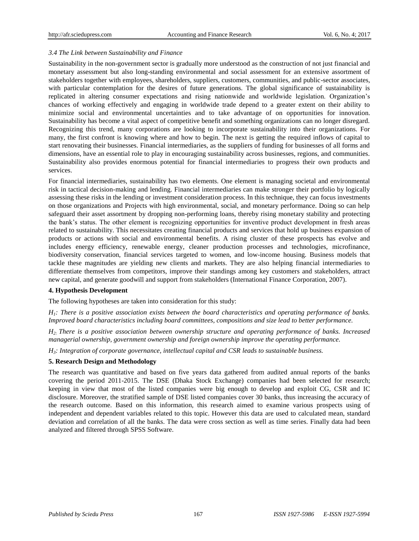### *3.4 The Link between Sustainability and Finance*

Sustainability in the non-government sector is gradually more understood as the construction of not just financial and monetary assessment but also long-standing environmental and social assessment for an extensive assortment of stakeholders together with employees, shareholders, suppliers, customers, communities, and public-sector associates, with particular contemplation for the desires of future generations. The global significance of sustainability is replicated in altering consumer expectations and rising nationwide and worldwide legislation. Organization's chances of working effectively and engaging in worldwide trade depend to a greater extent on their ability to minimize social and environmental uncertainties and to take advantage of on opportunities for innovation. Sustainability has become a vital aspect of competitive benefit and something organizations can no longer disregard. Recognizing this trend, many corporations are looking to incorporate sustainability into their organizations. For many, the first confront is knowing where and how to begin. The next is getting the required inflows of capital to start renovating their businesses. Financial intermediaries, as the suppliers of funding for businesses of all forms and dimensions, have an essential role to play in encouraging sustainability across businesses, regions, and communities. Sustainability also provides enormous potential for financial intermediaries to progress their own products and services.

For financial intermediaries, sustainability has two elements. One element is managing societal and environmental risk in tactical decision-making and lending. Financial intermediaries can make stronger their portfolio by logically assessing these risks in the lending or investment consideration process. In this technique, they can focus investments on those organizations and Projects with high environmental, social, and monetary performance. Doing so can help safeguard their asset assortment by dropping non-performing loans, thereby rising monetary stability and protecting the bank's status. The other element is recognizing opportunities for inventive product development in fresh areas related to sustainability. This necessitates creating financial products and services that hold up business expansion of products or actions with social and environmental benefits. A rising cluster of these prospects has evolve and includes energy efficiency, renewable energy, cleaner production processes and technologies, microfinance, biodiversity conservation, financial services targeted to women, and low-income housing. Business models that tackle these magnitudes are yielding new clients and markets. They are also helping financial intermediaries to differentiate themselves from competitors, improve their standings among key customers and stakeholders, attract new capital, and generate goodwill and support from stakeholders (International Finance Corporation, 2007).

### **4. Hypothesis Development**

The following hypotheses are taken into consideration for this study:

*H1: There is a positive association exists between the board characteristics and operating performance of banks. Improved board characteristics including board committees, compositions and size lead to better performance.*

*H2: There is a positive association between ownership structure and operating performance of banks. Increased managerial ownership, government ownership and foreign ownership improve the operating performance.*

*H3: Integration of corporate governance, intellectual capital and CSR leads to sustainable business.*

### **5. Research Design and Methodology**

The research was quantitative and based on five years data gathered from audited annual reports of the banks covering the period 2011-2015. The DSE (Dhaka Stock Exchange) companies had been selected for research; keeping in view that most of the listed companies were big enough to develop and exploit CG, CSR and IC disclosure. Moreover, the stratified sample of DSE listed companies cover 30 banks, thus increasing the accuracy of the research outcome. Based on this information, this research aimed to examine various prospects using of independent and dependent variables related to this topic. However this data are used to calculated mean, standard deviation and correlation of all the banks. The data were cross section as well as time series. Finally data had been analyzed and filtered through SPSS Software.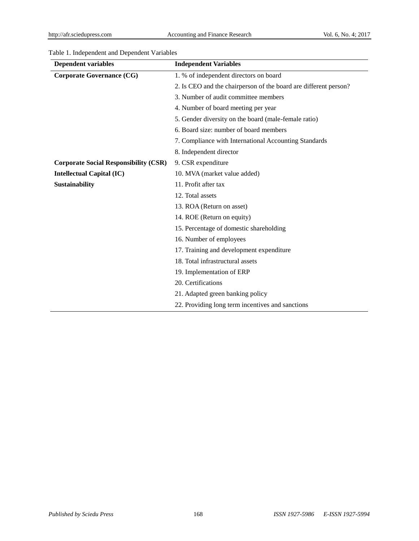### Table 1. Independent and Dependent Variables

| <b>Dependent variables</b>                   | <b>Independent Variables</b>                                     |
|----------------------------------------------|------------------------------------------------------------------|
| <b>Corporate Governance (CG)</b>             | 1. % of independent directors on board                           |
|                                              | 2. Is CEO and the chairperson of the board are different person? |
|                                              | 3. Number of audit committee members                             |
|                                              | 4. Number of board meeting per year                              |
|                                              | 5. Gender diversity on the board (male-female ratio)             |
|                                              | 6. Board size: number of board members                           |
|                                              | 7. Compliance with International Accounting Standards            |
|                                              | 8. Independent director                                          |
| <b>Corporate Social Responsibility (CSR)</b> | 9. CSR expenditure                                               |
| <b>Intellectual Capital (IC)</b>             | 10. MVA (market value added)                                     |
| <b>Sustainability</b>                        | 11. Profit after tax                                             |
|                                              | 12. Total assets                                                 |
|                                              | 13. ROA (Return on asset)                                        |
|                                              | 14. ROE (Return on equity)                                       |
|                                              | 15. Percentage of domestic shareholding                          |
|                                              | 16. Number of employees                                          |
|                                              | 17. Training and development expenditure                         |
|                                              | 18. Total infrastructural assets                                 |
|                                              | 19. Implementation of ERP                                        |
|                                              | 20. Certifications                                               |
|                                              | 21. Adapted green banking policy                                 |
|                                              | 22. Providing long term incentives and sanctions                 |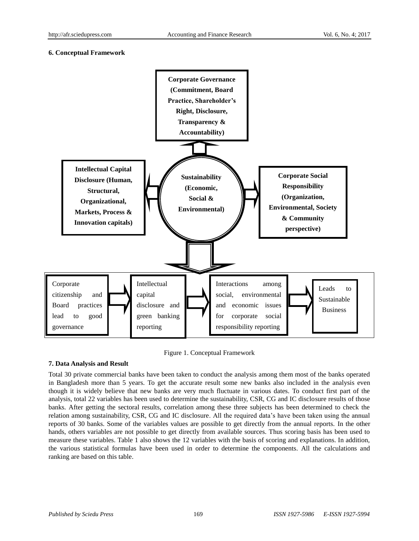### **6. Conceptual Framework**





# **7. Data Analysis and Result**

Total 30 private commercial banks have been taken to conduct the analysis among them most of the banks operated in Bangladesh more than 5 years. To get the accurate result some new banks also included in the analysis even though it is widely believe that new banks are very much fluctuate in various dates. To conduct first part of the analysis, total 22 variables has been used to determine the sustainability, CSR, CG and IC disclosure results of those banks. After getting the sectoral results, correlation among these three subjects has been determined to check the relation among sustainability, CSR, CG and IC disclosure. All the required data's have been taken using the annual reports of 30 banks. Some of the variables values are possible to get directly from the annual reports. In the other hands, others variables are not possible to get directly from available sources. Thus scoring basis has been used to measure these variables. Table 1 also shows the 12 variables with the basis of scoring and explanations. In addition, the various statistical formulas have been used in order to determine the components. All the calculations and ranking are based on this table.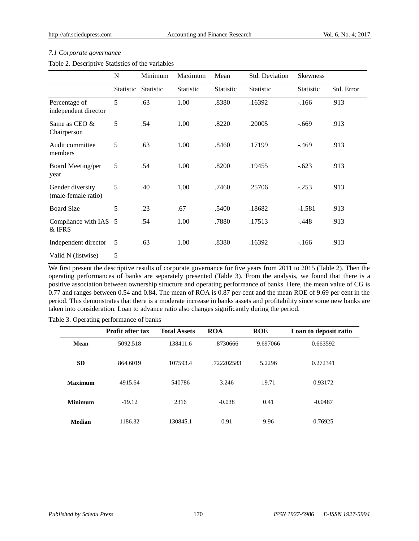# *7.1 Corporate governance*

Table 2. Descriptive Statistics of the variables

|                                         | N         | Minimum          | Maximum          | Mean             | Std. Deviation   | <b>Skewness</b> |            |
|-----------------------------------------|-----------|------------------|------------------|------------------|------------------|-----------------|------------|
|                                         | Statistic | <b>Statistic</b> | <b>Statistic</b> | <b>Statistic</b> | <b>Statistic</b> | Statistic       | Std. Error |
| Percentage of<br>independent director   | 5         | .63              | 1.00             | .8380            | .16392           | $-166$          | .913       |
| Same as CEO &<br>Chairperson            | 5         | .54              | 1.00             | .8220            | .20005           | $-.669$         | .913       |
| Audit committee<br>members              | 5         | .63              | 1.00             | .8460            | .17199           | $-.469$         | .913       |
| Board Meeting/per<br>year               | 5         | .54              | 1.00             | .8200            | .19455           | $-.623$         | .913       |
| Gender diversity<br>(male-female ratio) | 5         | .40              | 1.00             | .7460            | .25706           | $-.253$         | .913       |
| <b>Board Size</b>                       | 5         | .23              | .67              | .5400            | .18682           | $-1.581$        | .913       |
| Compliance with IAS 5<br>& IFRS         |           | .54              | 1.00             | .7880            | .17513           | -.448           | .913       |
| Independent director                    | 5         | .63              | 1.00             | .8380            | .16392           | $-166$          | .913       |
| Valid N (listwise)                      | 5         |                  |                  |                  |                  |                 |            |

We first present the descriptive results of corporate governance for five years from 2011 to 2015 (Table 2). Then the operating performances of banks are separately presented (Table 3). From the analysis, we found that there is a positive association between ownership structure and operating performance of banks. Here, the mean value of CG is 0.77 and ranges between 0.54 and 0.84. The mean of ROA is 0.87 per cent and the mean ROE of 9.69 per cent in the period. This demonstrates that there is a moderate increase in banks assets and profitability since some new banks are taken into consideration. Loan to advance ratio also changes significantly during the period.

|  |  | Table 3. Operating performance of banks |  |  |  |
|--|--|-----------------------------------------|--|--|--|
|--|--|-----------------------------------------|--|--|--|

|                | <b>Profit after tax</b> | <b>Total Assets</b> | <b>ROA</b> | <b>ROE</b> | Loan to deposit ratio |
|----------------|-------------------------|---------------------|------------|------------|-----------------------|
| Mean           | 5092.518                | 138411.6            | .8730666   | 9.697066   | 0.663592              |
| <b>SD</b>      | 864.6019                | 107593.4            | .722202583 | 5.2296     | 0.272341              |
| Maximum        | 4915.64                 | 540786              | 3.246      | 19.71      | 0.93172               |
| <b>Minimum</b> | $-19.12$                | 2316                | $-0.038$   | 0.41       | $-0.0487$             |
| <b>Median</b>  | 1186.32                 | 130845.1            | 0.91       | 9.96       | 0.76925               |
|                |                         |                     |            |            |                       |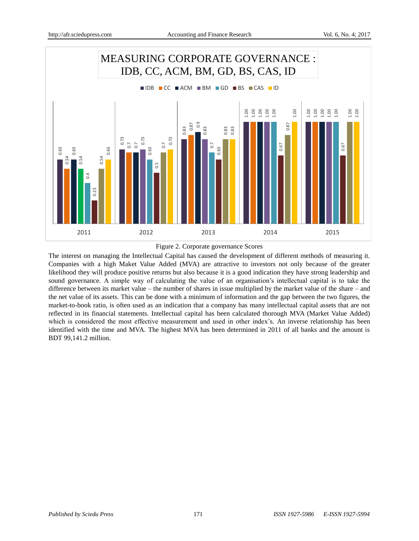

Figure 2. Corporate governance Scores

The interest on managing the Intellectual Capital has caused the development of different methods of measuring it. Companies with a high Maket Value Added (MVA) are attractive to investors not only because of the greater likelihood they will produce positive returns but also because it is a good indication they have strong leadership and sound governance. A simple way of calculating the value of an organisation's intellectual capital is to take the difference between its market value – the number of shares in issue multiplied by the market value of the share – and the net value of its assets. This can be done with a minimum of information and the gap between the two figures, the market-to-book ratio, is often used as an indication that a company has many intellectual capital assets that are not reflected in its financial statements. Intellectual capital has been calculated thorough MVA (Market Value Added) which is considered the most effective measurement and used in other index's. An inverse relationship has been identified with the time and MVA. The highest MVA has been determined in 2011 of all banks and the amount is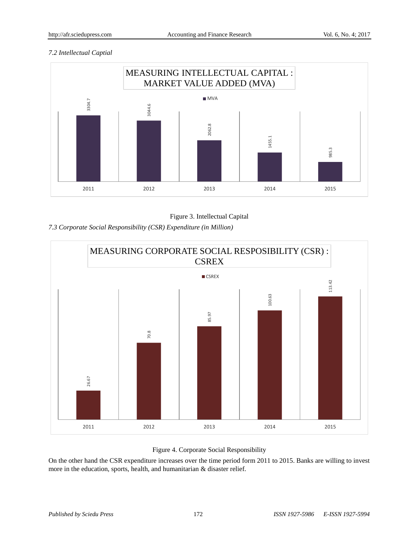# *7.2 Intellectual Captial*



Figure 3. Intellectual Capital

*7.3 Corporate Social Responsibility (CSR) Expenditure (in Million)*



# Figure 4. Corporate Social Responsibility

On the other hand the CSR expenditure increases over the time period form 2011 to 2015. Banks are willing to invest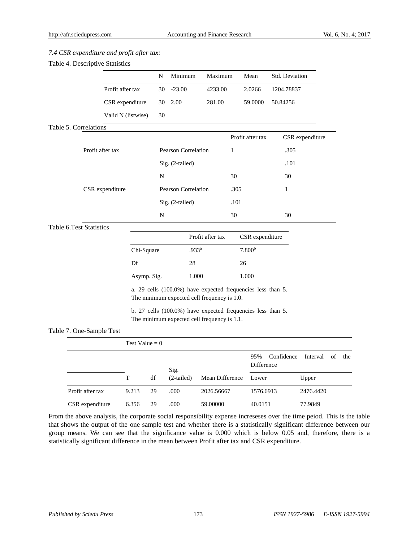# *7.4 CSR expenditure and profit after tax:*

### Table 4. Descriptive Statistics

|                         |                    |             |    | Minimum<br>N<br>Maximum                                                                                    |                  | Mean               |                 | Std. Deviation  |  |
|-------------------------|--------------------|-------------|----|------------------------------------------------------------------------------------------------------------|------------------|--------------------|-----------------|-----------------|--|
|                         | Profit after tax   |             | 30 | $-23.00$                                                                                                   | 4233.00          | 2.0266             |                 | 1204.78837      |  |
|                         | CSR expenditure    |             | 30 | 2.00                                                                                                       | 281.00           | 59.0000            |                 | 50.84256        |  |
|                         | Valid N (listwise) |             | 30 |                                                                                                            |                  |                    |                 |                 |  |
| Table 5. Correlations   |                    |             |    |                                                                                                            |                  |                    |                 |                 |  |
|                         |                    |             |    |                                                                                                            |                  | Profit after tax   |                 | CSR expenditure |  |
|                         | Profit after tax   |             |    | <b>Pearson Correlation</b>                                                                                 |                  | 1                  |                 | .305            |  |
|                         |                    |             |    | Sig. (2-tailed)                                                                                            |                  |                    |                 | .101            |  |
|                         |                    |             | N  |                                                                                                            |                  | 30                 |                 | 30              |  |
|                         | CSR expenditure    |             |    | <b>Pearson Correlation</b>                                                                                 |                  | .305               |                 | 1               |  |
|                         |                    |             |    | Sig. (2-tailed)                                                                                            |                  | .101               |                 |                 |  |
|                         |                    |             | N  |                                                                                                            |                  | 30                 |                 | 30              |  |
| Table 6.Test Statistics |                    |             |    |                                                                                                            |                  |                    |                 |                 |  |
|                         |                    |             |    |                                                                                                            | Profit after tax |                    | CSR expenditure |                 |  |
|                         |                    | Chi-Square  |    | $.933^{a}$                                                                                                 |                  | 7.800 <sup>b</sup> |                 |                 |  |
|                         |                    | Df          |    | 28                                                                                                         |                  | 26                 |                 |                 |  |
|                         |                    | Asymp. Sig. |    | 1.000                                                                                                      |                  | 1.000              |                 |                 |  |
|                         |                    |             |    | a. 29 cells (100.0%) have expected frequencies less than 5.<br>The minimum expected cell frequency is 1.0. |                  |                    |                 |                 |  |
|                         |                    |             |    | b. 27 cells (100.0%) have expected frequencies less than 5.                                                |                  |                    |                 |                 |  |

 $\overline{\phantom{a}}$ 

The minimum expected cell frequency is 1.1.

# Table 7. One-Sample Test

|                  | Test Value = $0$ |    |              |                 |                   |                            |  |
|------------------|------------------|----|--------------|-----------------|-------------------|----------------------------|--|
|                  |                  |    | Sig.         |                 | 95%<br>Difference | Confidence Interval of the |  |
|                  | T                | df | $(2-tailed)$ | Mean Difference | Lower             | Upper                      |  |
| Profit after tax | 9.213            | 29 | .000         | 2026.56667      | 1576.6913         | 2476.4420                  |  |
| CSR expenditure  | 6.356            | 29 | .000         | 59.00000        | 40.0151           | 77.9849                    |  |

From the above analysis, the corporate social responsibility expense increseses over the time peiod. This is the table that shows the output of the one sample test and whether there is a statistically significant difference between our group means. We can see that the significance value is 0.000 which is below 0.05 and, therefore, there is a statistically significant difference in the mean between Profit after tax and CSR expenditure.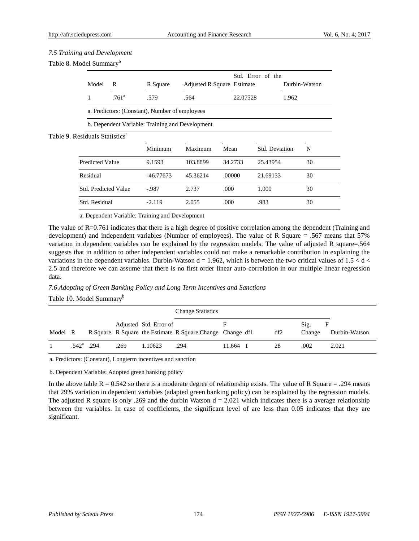# *7.5 Training and Development*

Table 8. Model Summary<sup>b</sup>

| Model                                      | R                 | R Square                                        | Adjusted R Square Estimate |          | Std. Error of the | Durbin-Watson<br>1.962 |    |
|--------------------------------------------|-------------------|-------------------------------------------------|----------------------------|----------|-------------------|------------------------|----|
| 1                                          | .761 <sup>a</sup> | .579                                            | .564                       | 22.07528 |                   |                        |    |
|                                            |                   | a. Predictors: (Constant), Number of employees  |                            |          |                   |                        |    |
|                                            |                   | b. Dependent Variable: Training and Development |                            |          |                   |                        |    |
| Table 9. Residuals Statistics <sup>a</sup> |                   |                                                 |                            |          |                   |                        |    |
|                                            |                   | Minimum                                         | Maximum                    | Mean     | Std. Deviation    |                        | N  |
| <b>Predicted Value</b>                     |                   | 9.1593                                          | 103.8899                   | 34.2733  | 25.43954          |                        | 30 |
| Residual                                   |                   | -46.77673                                       | 45.36214                   | .00000   | 21.69133          |                        | 30 |
| <b>Std. Predicted Value</b>                |                   | -.987                                           | 2.737                      | .000     | 1.000             |                        | 30 |
| Std. Residual                              |                   | $-2.119$                                        | 2.055                      | .000     | .983              |                        | 30 |
|                                            |                   |                                                 |                            |          |                   |                        |    |

a. Dependent Variable: Training and Development

The value of R=0.761 indicates that there is a high degree of positive correlation among the dependent (Training and development) and independent variables (Number of employees). The value of R Square = .567 means that 57% variation in dependent variables can be explained by the regression models. The value of adjusted R square=.564 suggests that in addition to other independent variables could not make a remarkable contribution in explaining the variations in the dependent variables. Durbin-Watson  $d = 1.962$ , which is between the two critical values of  $1.5 < d <$ 2.5 and therefore we can assume that there is no first order linear auto-correlation in our multiple linear regression data.

### *7.6 Adopting of Green Banking Policy and Long Term Incentives and Sanctions*

Table 10. Model Summary<sup>b</sup>

|         |               | <b>Change Statistics</b> |                        |                                                           |        |  |     |                     |               |
|---------|---------------|--------------------------|------------------------|-----------------------------------------------------------|--------|--|-----|---------------------|---------------|
| Model R |               |                          | Adjusted Std. Error of | R Square R Square the Estimate R Square Change Change df1 | F      |  | df2 | Sig.<br>F<br>Change | Durbin-Watson |
|         | $.542^a$ .294 | .269                     | 1.10623                | .294                                                      | 11.664 |  | 28  | .002                | 2.021         |

a. Predictors: (Constant), Longterm incentives and sanction

b. Dependent Variable: Adopted green banking policy

In the above table  $R = 0.542$  so there is a moderate degree of relationship exists. The value of R Square  $= .294$  means that 29% variation in dependent variables (adapted green banking policy) can be explained by the regression models. The adjusted R square is only .269 and the durbin Watson  $d = 2.021$  which indicates there is a average relationship between the variables. In case of coefficients, the significant level of are less than 0.05 indicates that they are significant.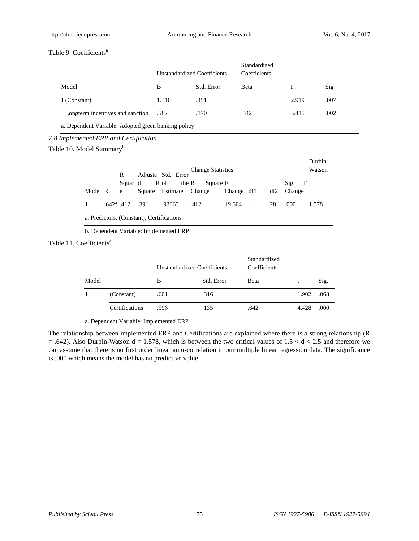### Table 9. Coefficients<sup>a</sup>

|                                  |       | Unstandardized Coefficients | Standardized<br>Coefficients |       |      |
|----------------------------------|-------|-----------------------------|------------------------------|-------|------|
| Model                            | B     | Std. Error                  | <b>B</b> eta                 |       | Sig. |
| 1 (Constant)                     | 1.316 | .451                        |                              | 2.919 | .007 |
| Longterm incentives and sanction | .582  | .170                        | .542                         | 3.415 | .002 |

a. Dependent Variable: Adopted green banking policy

*7.8 Implemented ERP and Certification*

Table 10. Model Summary<sup>b</sup>

|         | R                        |                                           |                                             | Adjuste Std. Error | <b>Change Statistics</b> |  |     |                  |       |
|---------|--------------------------|-------------------------------------------|---------------------------------------------|--------------------|--------------------------|--|-----|------------------|-------|
| Model R | e                        |                                           | Squard R of the R<br>Square Estimate Change | Square F           | Change df1               |  | df2 | Sig. F<br>Change |       |
|         | $.642^{\circ}$ .412 .391 |                                           | .93063                                      | .412               | 19.604 1                 |  | 28  | .000             | 1.578 |
|         |                          | a. Predictors: (Constant), Certifications |                                             |                    |                          |  |     |                  |       |

b. Dependent Variable: Implemented ERP

| Table 11. Coefficients <sup>a</sup> |                |      |                             |                              |       |      |
|-------------------------------------|----------------|------|-----------------------------|------------------------------|-------|------|
|                                     |                |      | Unstandardized Coefficients | Standardized<br>Coefficients |       | Sig. |
| Model                               |                | B    | Std. Error                  | Beta                         | t     |      |
|                                     | (Constant)     | .601 | .316                        |                              | 1.902 | .068 |
|                                     | Certifications | .596 | .135                        | .642                         | 4.428 | .000 |
|                                     |                |      |                             |                              |       |      |

a. Dependent Variable: Implemented ERP

The relationship between implemented ERP and Certifications are explained where there is a strong relationship (R  $=$  .642). Also Durbin-Watson d = 1.578, which is between the two critical values of 1.5  $<$  d  $<$  2.5 and therefore we can assume that there is no first order linear auto-correlation in our multiple linear regression data. The significance is .000 which means the model has no predictive value.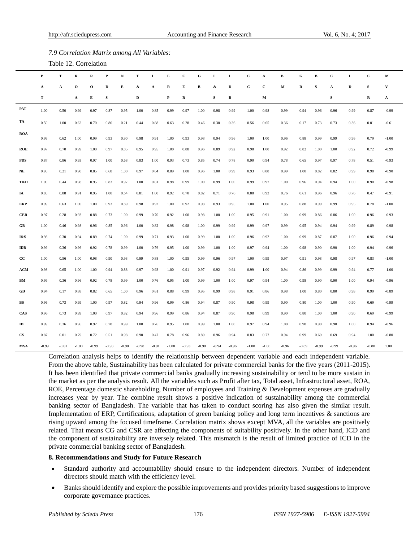#### *7.9 Correlation Matrix among All Variables:*

|                 | P       | T       | $\bf R$      | $\bf R$  | $\mathbf P$ | ${\bf N}$ | T       | $\bf{I}$ | ${\bf E}$   | $\mathbf C$ | $\mathbf G$  | $\bf{I}$  | 1           | $\mathbf C$ | $\boldsymbol{\Lambda}$ | В       | G           | В         | C         | 1           | $\mathbf C$ | M            |
|-----------------|---------|---------|--------------|----------|-------------|-----------|---------|----------|-------------|-------------|--------------|-----------|-------------|-------------|------------------------|---------|-------------|-----------|-----------|-------------|-------------|--------------|
|                 | A       | A       | $\mathbf{o}$ | $\bf{0}$ | D           | ${\bf E}$ | &       | A        | $\mathbf R$ | ${\bf E}$   | $\, {\bf B}$ | &         | $\mathbf D$ | $\mathbf C$ | ${\bf c}$              | M       | $\mathbf D$ | ${\bf S}$ | A         | $\mathbf D$ | ${\bf S}$   | $\mathbf{V}$ |
|                 | T       |         | A            | Е        | ${\bf S}$   |           | D       |          | $\mathbf P$ | $\mathbf R$ |              | ${\bf S}$ | B           |             | М                      |         |             |           | ${\bf S}$ |             | $\mathbf R$ | A            |
| PAT             | 1.00    | 0.50    | 0.99         | 0.97     | 0.87        | 0.95      | 1.00    | 0.85     | 0.99        | 0.97        | 1.00         | 0.98      | 0.99        | 1.00        | 0.98                   | 0.99    | 0.94        | 0.96      | 0.96      | 0.99        | 0.87        | $-0.99$      |
| TA              | 0.50    | 1.00    | 0.62         | 0.70     | 0.86        | 0.21      | 0.44    | 0.88     | 0.63        | 0.28        | 0.46         | 0.30      | 0.36        | 0.56        | 0.65                   | 0.36    | 0.17        | 0.73      | 0.73      | 0.36        | 0.01        | $-0.61$      |
| <b>ROA</b>      |         |         |              |          |             |           |         |          |             |             |              |           |             |             |                        |         |             |           |           |             |             |              |
|                 | 0.99    | 0.62    | 1.00         | 0.99     | 0.93        | 0.90      | 0.98    | 0.91     | 1.00        | 0.93        | 0.98         | 0.94      | 0.96        | 1.00        | 1.00                   | 0.96    | 0.88        | 0.99      | 0.99      | 0.96        | 0.79        | $-1.00$      |
| <b>ROE</b>      | 0.97    | 0.70    | 0.99         | 1.00     | 0.97        | 0.85      | 0.95    | 0.95     | 1.00        | 0.88        | 0.96         | 0.89      | 0.92        | 0.98        | 1.00                   | 0.92    | 0.82        | 1.00      | 1.00      | 0.92        | 0.72        | $-0.99$      |
| <b>PDS</b>      | 0.87    | 0.86    | 0.93         | 0.97     | 1.00        | 0.68      | 0.83    | 1.00     | 0.93        | 0.73        | 0.85         | 0.74      | 0.78        | 0.90        | 0.94                   | 0.78    | 0.65        | 0.97      | 0.97      | 0.78        | 0.51        | $-0.93$      |
| $\mathbf{NE}$   | 0.95    | 0.21    | 0.90         | 0.85     | 0.68        | 1.00      | 0.97    | 0.64     | 0.89        | 1.00        | 0.96         | 1.00      | 0.99        | 0.93        | 0.88                   | 0.99    | 1.00        | 0.82      | 0.82      | 0.99        | 0.98        | $-0.90$      |
| T&D             | 1.00    | 0.44    | 0.98         | 0.95     | 0.83        | 0.97      | 1.00    | 0.81     | 0.98        | 0.99        | 1.00         | 0.99      | 1.00        | 0.99        | 0.97                   | 1.00    | 0.96        | 0.94      | 0.94      | 1.00        | 0.90        | $-0.98$      |
| IA              | 0.85    | 0.88    | 0.91         | 0.95     | 1.00        | 0.64      | 0.81    | 1.00     | 0.92        | 0.70        | 0.82         | 0.71      | 0.76        | 0.88        | 0.93                   | 0.76    | 0.61        | 0.96      | 0.96      | 0.76        | 0.47        | $-0.91$      |
| <b>ERP</b>      | 0.99    | 0.63    | 1.00         | 1.00     | 0.93        | 0.89      | 0.98    | 0.92     | 1.00        | 0.92        | 0.98         | 0.93      | 0.95        | 1.00        | 1.00                   | 0.95    | 0.88        | 0.99      | 0.99      | 0.95        | 0.78        | $-1.00$      |
| <b>CER</b>      | 0.97    | 0.28    | 0.93         | 0.88     | 0.73        | 1.00      | 0.99    | 0.70     | 0.92        | 1.00        | 0.98         | 1.00      | 1.00        | 0.95        | 0.91                   | 1.00    | 0.99        | 0.86      | 0.86      | 1.00        | 0.96        | $-0.93$      |
| $G$ B           | 1.00    | 0.46    | 0.98         | 0.96     | 0.85        | 0.96      | 1.00    | 0.82     | 0.98        | 0.98        | 1.00         | 0.99      | 0.99        | 0.99        | 0.97                   | 0.99    | 0.95        | 0.94      | 0.94      | 0.99        | 0.89        | $-0.98$      |
| I&S             | 0.98    | 0.30    | 0.94         | 0.89     | 0.74        | 1.00      | 0.99    | 0.71     | 0.93        | 1.00        | 0.99         | 1.00      | 1.00        | 0.96        | 0.92                   | 1.00    | 0.99        | 0.87      | 0.87      | 1.00        | 0.96        | $-0.94$      |
| <b>IDB</b>      | 0.99    | 0.36    | 0.96         | 0.92     | 0.78        | 0.99      | 1.00    | 0.76     | 0.95        | 1.00        | 0.99         | 1.00      | 1.00        | 0.97        | 0.94                   | 1.00    | 0.98        | 0.90      | 0.90      | 1.00        | 0.94        | $-0.96$      |
| cc              | 1.00    | 0.56    | 1.00         | 0.98     | 0.90        | 0.93      | 0.99    | 0.88     | 1.00        | 0.95        | 0.99         | 0.96      | 0.97        | 1.00        | 0.99                   | 0.97    | 0.91        | 0.98      | 0.98      | 0.97        | 0.83        | $-1.00$      |
| ACM             | 0.98    | 0.65    | 1.00         | 1.00     | 0.94        | 0.88      | 0.97    | 0.93     | 1.00        | 0.91        | 0.97         | 0.92      | 0.94        | 0.99        | 1.00                   | 0.94    | 0.86        | 0.99      | 0.99      | 0.94        | 0.77        | $-1.00$      |
| BM              | 0.99    | 0.36    | 0.96         | 0.92     | 0.78        | 0.99      | 1.00    | 0.76     | 0.95        | 1.00        | 0.99         | 1.00      | 1.00        | 0.97        | 0.94                   | 1.00    | 0.98        | 0.90      | 0.90      | 1.00        | 0.94        | $-0.96$      |
| GD              | 0.94    | 0.17    | 0.88         | 0.82     | 0.65        | 1.00      | 0.96    | 0.61     | 0.88        | 0.99        | 0.95         | 0.99      | 0.98        | 0.91        | 0.86                   | 0.98    | 1.00        | 0.80      | 0.80      | 0.98        | 0.99        | $-0.89$      |
| BS              | 0.96    | 0.73    | 0.99         | 1.00     | 0.97        | 0.82      | 0.94    | 0.96     | 0.99        | 0.86        | 0.94         | 0.87      | 0.90        | 0.98        | 0.99                   | 0.90    | 0.80        | 1.00      | 1.00      | 0.90        | 0.69        | $-0.99$      |
| CAS             | 0.96    | 0.73    | 0.99         | 1.00     | 0.97        | 0.82      | 0.94    | 0.96     | 0.99        | 0.86        | 0.94         | 0.87      | 0.90        | 0.98        | 0.99                   | 0.90    | 0.80        | 1.00      | 1.00      | 0.90        | 0.69        | $-0.99$      |
| ID              | 0.99    | 0.36    | 0.96         | 0.92     | 0.78        | 0.99      | 1.00    | 0.76     | 0.95        | 1.00        | 0.99         | 1.00      | 1.00        | 0.97        | 0.94                   | 1.00    | 0.98        | 0.90      | 0.90      | 1.00        | 0.94        | $-0.96$      |
| $\mathbf{CS}\,$ | 0.87    | 0.01    | 0.79         | 0.72     | 0.51        | 0.98      | 0.90    | 0.47     | 0.78        | 0.96        | 0.89         | 0.96      | 0.94        | 0.83        | 0.77                   | 0.94    | 0.99        | 0.69      | 0.69      | 0.94        | 1.00        | $-0.80$      |
| <b>MVA</b>      | $-0.99$ | $-0.61$ | $-1.00$      | $-0.99$  | $-0.93$     | $-0.90$   | $-0.98$ | $-0.91$  | $-1.00$     | $-0.93$     | $-0.98$      | $-0.94$   | $-0.96$     | $-1.00$     | $-1.00$                | $-0.96$ | $-0.89$     | $-0.99$   | $-0.99$   | $-0.96$     | $-0.80$     | 1.00         |

Correlation analysis helps to identify the relationship between dependent variable and each independent variable. From the above table, Sustainability has been calculated for private commercial banks for the five years (2011-2015). It has been identified that private commercial banks gradually increasing sustainability or tend to be more sustain in the market as per the analysis result. All the variables such as Profit after tax, Total asset, Infrastructural asset, ROA, ROE, Percentage domestic shareholding, Number of employees and Training & Development expenses are gradually increases year by year. The combine result shows a positive indication of sustainability among the commercial banking sector of Bangladesh. The variable that has taken to conduct scoring has also given the similar result. Implementation of ERP, Certifications, adaptation of green banking policy and long term incentives & sanctions are rising upward among the focused timeframe. Correlation matrix shows except MVA, all the variables are positively related. That means CG and CSR are affecting the components of suitability positively. In the other hand, ICD and the component of sustainability are inversely related. This mismatch is the result of limited practice of ICD in the private commercial banking sector of Bangladesh.

#### **8. Recommendations and Study for Future Research**

- Standard authority and accountability should ensure to the independent directors. Number of independent directors should match with the efficiency level.
- Banks should identify and explore the possible improvements and provides priority based suggestions to improve corporate governance practices.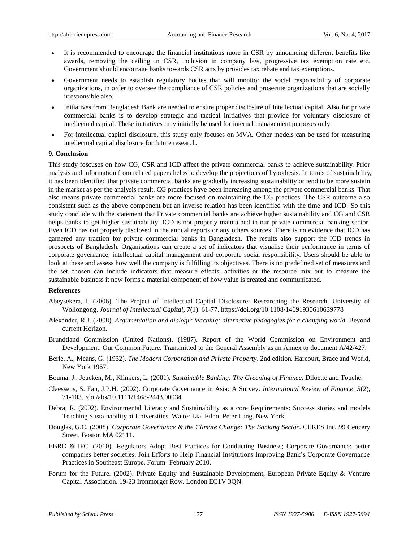- It is recommended to encourage the financial institutions more in CSR by announcing different benefits like awards, removing the ceiling in CSR, inclusion in company law, progressive tax exemption rate etc. Government should encourage banks towards CSR acts by provides tax rebate and tax exemptions.
- Government needs to establish regulatory bodies that will monitor the social responsibility of corporate organizations, in order to oversee the compliance of CSR policies and prosecute organizations that are socially irresponsible also.
- Initiatives from Bangladesh Bank are needed to ensure proper disclosure of Intellectual capital. Also for private commercial banks is to develop strategic and tactical initiatives that provide for voluntary disclosure of intellectual capital. These initiatives may initially be used for internal management purposes only.
- For intellectual capital disclosure, this study only focuses on MVA. Other models can be used for measuring intellectual capital disclosure for future research.

#### **9. Conclusion**

This study foscuses on how CG, CSR and ICD affect the private commercial banks to achieve sustainability. Prior analysis and information from related papers helps to develop the projections of hypothesis. In terms of sustainability, it has been identified that private commercial banks are gradually increasing sustainability or tend to be more sustain in the market as per the analysis result. CG practices have been increasing among the private commercial banks. That also means private commercial banks are more focused on maintaining the CG practices. The CSR outcome also consistent such as the above component but an inverse relation has been identified with the time and ICD. So this study conclude with the statement that Private commercial banks are achieve higher sustainability and CG and CSR helps banks to get higher sustainability. ICD is not properly maintained in our private commercial banking sector. Even ICD has not properly disclosed in the annual reports or any others sources. There is no evidence that ICD has garnered any traction for private commercial banks in Bangladesh. The results also support the ICD trends in prospects of Bangladesh. Organisations can create a set of indicators that visualise their performance in terms of corporate governance, intellectual capital management and corporate social responsibility. Users should be able to look at these and assess how well the company is fulfilling its objectives. There is no predefined set of measures and the set chosen can include indicators that measure effects, activities or the resource mix but to measure the sustainable business it now forms a material component of how value is created and communicated.

#### **References**

- Abeysekera, I. (2006). The Project of Intellectual Capital Disclosure: Researching the Research, University of Wollongong. *Journal of Intellectual Capital, 7*(1). 61-77. <https://doi.org/10.1108/14691930610639778>
- Alexander, R.J. (2008). *Argumentation and dialogic teaching: alternative pedagogies for a changing world*. Beyond current Horizon.
- Brundtland Commission (United Nations). (1987). Report of the World Commission on Environment and Development: Our Common Future. Transmitted to the General Assembly as an Annex t[o document A/42/427.](http://www.un-documents.net/a42-427.htm)
- Berle, A., Means, G. (1932). *The Modern Corporation and Private Property*. 2nd edition. Harcourt, Brace and World, New York 1967.
- Bouma, J., Jeucken, M., Klinkers, L. (2001). *Sustainable Banking: The Greening of Finance*. Diloette and Touche.
- Claessens, S. Fan, J.P.H. (2002). Corporate Governance in Asia: A Survey. *International Review of Finance, 3*(2), 71-103. [/doi/abs/10.1111/1468-2443.00034](http://econpapers.repec.org/scripts/redir.pf?u=http%3A%2F%2Fwww.blackwell-synergy.com%2Fdoi%2Fabs%2F10.1111%2F1468-2443.00034;h=repec:bla:irvfin:v:3:y:2002:i:2:p:71-103)
- Debra, R. (2002). Environmental Literacy and Sustainability as a core Requirements: Success stories and models Teaching Sustainability at Universities. Walter Lial Filho. Peter Lang. New York.
- Douglas, G.C. (2008). *Corporate Governance & the Climate Change: The Banking Sector*. CERES Inc. 99 Cencery Street, Boston MA 02111.
- EBRD & IFC. (2010). Regulators Adopt Best Practices for Conducting Business; Corporate Governance: better companies better societies. Join Efforts to Help Financial Institutions Improving Bank's Corporate Governance Practices in Southeast Europe. Forum- February 2010.
- Forum for the Future. (2002). Private Equity and Sustainable Development, European Private Equity & Venture Capital Association. 19-23 Ironmorger Row, London EC1V 3QN.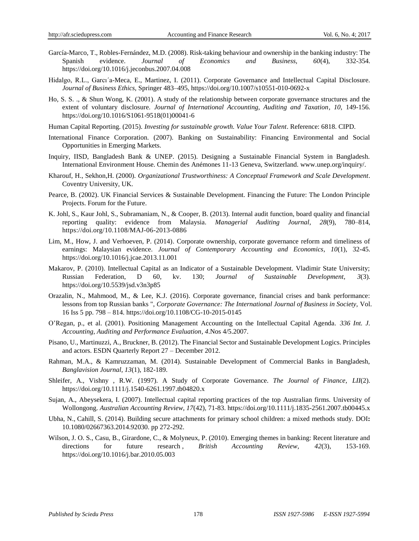- Garc á-Marco, T., Robles-Fern ández, M.D. (2008). Risk-taking behaviour and ownership in the banking industry: The Spanish evidence. *Journal of Economics and Business, 60*(4), 332-354. <https://doi.org/10.1016/j.jeconbus.2007.04.008>
- Hidalgo, R.L., Garcı´a-Meca, E., Martinez, I. (2011). Corporate Governance and Intellectual Capital Disclosure. *Journal of Business Ethics,* Springer 483–495,<https://doi.org/10.1007/s10551-010-0692-x>
- Ho, S. S. ., & Shun Wong, K. (2001). A study of the relationship between corporate governance structures and the extent of voluntary disclosure. *Journal of International Accounting, Auditing and Taxation, 10*, 149-156. [https://doi.org/10.1016/S1061-9518\(01\)00041-6](https://doi.org/10.1016/S1061-9518(01)00041-6)
- Human Capital Reporting. (2015). *Investing for sustainable growth. Value Your Talent*. Reference: 6818. CIPD.
- International Finance Corporation. (2007). Banking on Sustainability: Financing Environmental and Social Opportunities in Emerging Markets.
- Inquiry, IISD, Bangladesh Bank & UNEP. (2015). Designing a Sustainable Financial System in Bangladesh. International Environment House. Chemin des Anémones 11-13 Geneva, Switzerland. www.unep.org/inquiry/.
- Kharouf, H., Sekhon,H. (2000). *Organizational Trustworthiness: A Conceptual Framework and Scale Development*. Coventry University, UK.
- Pearce, B. (2002). UK Financial Services & Sustainable Development. Financing the Future: The London Principle Projects. Forum for the Future.
- K. Johl, S., Kaur Johl, S., Subramaniam, N., & Cooper, B. (2013). Internal audit function, board quality and financial reporting quality: evidence from Malaysia. *Managerial Auditing Journal*, *28*(9), 780–814, <https://doi.org/10.1108/MAJ-06-2013-0886>
- Lim, M., How, J. and Verhoeven, P. (2014). Corporate ownership, corporate governance reform and timeliness of earnings: Malaysian evidence. *Journal of Contemporary Accounting and Economics, 10*(1), 32-45. <https://doi.org/10.1016/j.jcae.2013.11.001>
- Makarov, P. (2010). Intellectual Capital as an Indicator of a Sustainable Development. Vladimir State University; Russian Federation, D 60, kv. 130; *Journal of Sustainable Development, 3*(3). <https://doi.org/10.5539/jsd.v3n3p85>
- Orazalin, N., Mahmood, M., & Lee, K.J. (2016). Corporate governance, financial crises and bank performance: lessons from top Russian banks ", *Corporate Governance: The International Journal of Business in Society,* Vol. 16 Iss 5 pp. 798 – 814[. https://doi.org/10.1108/CG-10-2015-0145](https://doi.org/10.1108/CG-10-2015-0145)
- O'Regan, p., et al. (2001). Positioning Management Accounting on the Intellectual Capital Agenda. *336 Int. J. Accounting, Auditing and Performance Evaluation, 4*.Nos 4/5.2007.
- Pisano, U., Martinuzzi, A., Bruckner, B. (2012). The Financial Sector and Sustainable Development Logics. Principles and actors. ESDN Quarterly Report 27 – December 2012.
- Rahman, M.A., & Kamruzzaman, M. (2014). Sustainable Development of Commercial Banks in Bangladesh, *Banglavision Journal, 13*(1), 182-189.
- Shleifer, A., Vishny , R.W. (1997). A Study of Corporate Governance. *The Journal of Finance, LII*(2). <https://doi.org/10.1111/j.1540-6261.1997.tb04820.x>
- Sujan, A., Abeysekera, I. (2007). Intellectual capital reporting practices of the top Australian firms. University of Wollongong. *Australian Accounting Review, 17*(42), 71-83. <https://doi.org/10.1111/j.1835-2561.2007.tb00445.x>
- Ubha, N., Cahill, S. (2014). Building secure attachments for primary school children: a mixed methods study. DOI**:**  10.1080/02667363.2014.92030. pp 272-292.
- Wilson, J. O. S., Casu, B., Girardone, C., & Molyneux, P. (2010). Emerging themes in banking: Recent literature and directions for future research , *British Accounting Review, 42*(3), 153-169. <https://doi.org/10.1016/j.bar.2010.05.003>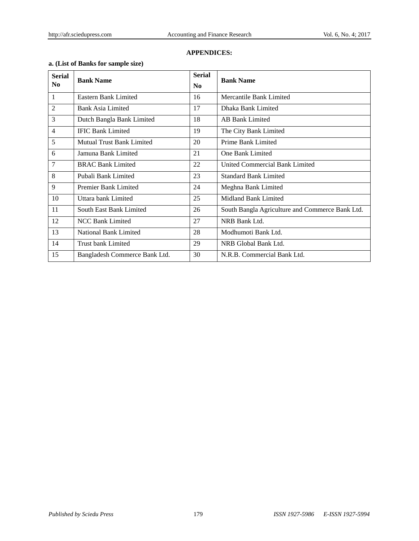| a. (List of Banks for sample size) |                                  |                                 |                                                 |  |  |  |  |  |
|------------------------------------|----------------------------------|---------------------------------|-------------------------------------------------|--|--|--|--|--|
| <b>Serial</b><br>N <sub>0</sub>    | <b>Bank Name</b>                 | <b>Serial</b><br>N <sub>0</sub> | <b>Bank Name</b>                                |  |  |  |  |  |
| 1                                  | <b>Eastern Bank Limited</b>      | 16                              | Mercantile Bank Limited                         |  |  |  |  |  |
| $\overline{2}$                     | Bank Asia Limited                | 17                              | Dhaka Bank Limited                              |  |  |  |  |  |
| 3                                  | Dutch Bangla Bank Limited        | 18                              | <b>AB Bank Limited</b>                          |  |  |  |  |  |
| 4                                  | <b>IFIC Bank Limited</b>         | 19                              | The City Bank Limited                           |  |  |  |  |  |
| 5                                  | <b>Mutual Trust Bank Limited</b> | 20                              | Prime Bank Limited                              |  |  |  |  |  |
| 6                                  | Jamuna Bank Limited              | 21                              | One Bank Limited                                |  |  |  |  |  |
| 7                                  | <b>BRAC Bank Limited</b>         | 22                              | United Commercial Bank Limited                  |  |  |  |  |  |
| 8                                  | Pubali Bank Limited              | 23                              | <b>Standard Bank Limited</b>                    |  |  |  |  |  |
| 9                                  | Premier Bank Limited             | 24                              | Meghna Bank Limited                             |  |  |  |  |  |
| 10                                 | Uttara bank Limited              | 25                              | Midland Bank Limited                            |  |  |  |  |  |
| 11                                 | South East Bank Limited          | 26                              | South Bangla Agriculture and Commerce Bank Ltd. |  |  |  |  |  |
| 12                                 | <b>NCC Bank Limited</b>          | 27                              | NRB Bank Ltd.                                   |  |  |  |  |  |
| 13                                 | National Bank Limited            | 28                              | Modhumoti Bank Ltd.                             |  |  |  |  |  |
| 14                                 | Trust bank Limited               | 29                              | NRB Global Bank Ltd.                            |  |  |  |  |  |
| 15                                 | Bangladesh Commerce Bank Ltd.    | 30                              | N.R.B. Commercial Bank Ltd.                     |  |  |  |  |  |

# **APPENDICES:**